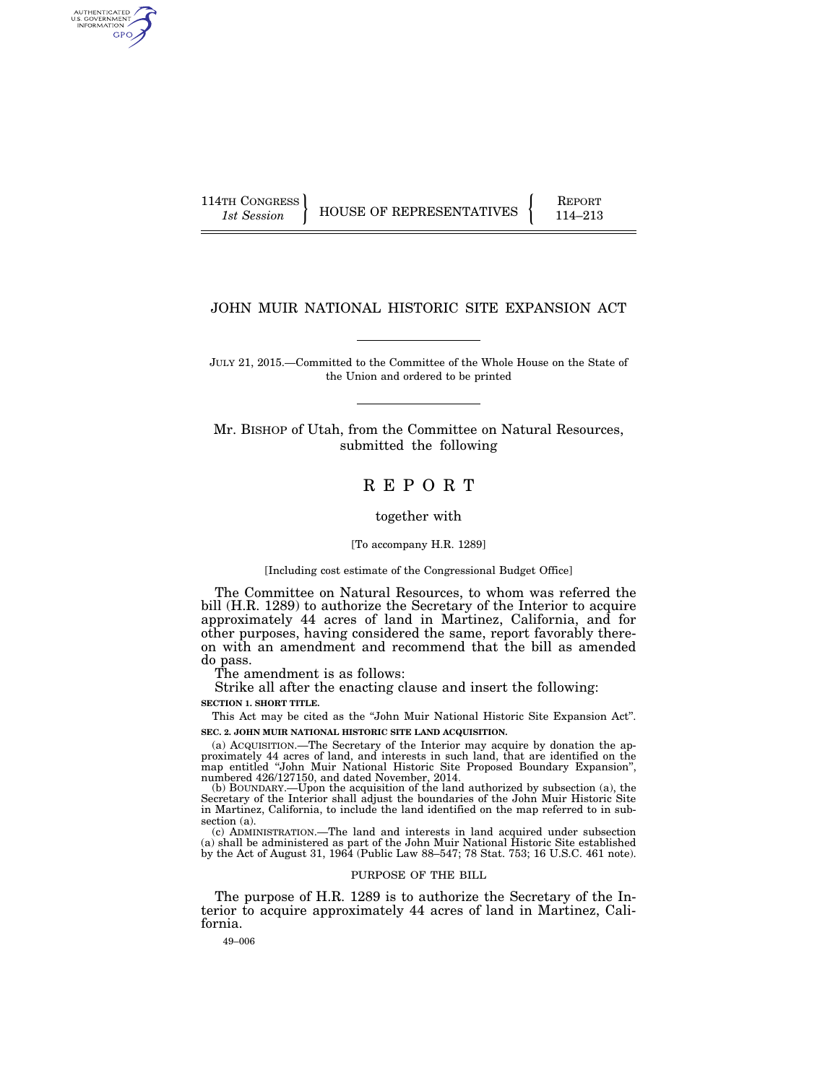AUTHENTICATED U.S. GOVERNMENT GPO

114TH CONGRESS HOUSE OF REPRESENTATIVES FEPORT 114–213

# JOHN MUIR NATIONAL HISTORIC SITE EXPANSION ACT

JULY 21, 2015.—Committed to the Committee of the Whole House on the State of the Union and ordered to be printed

Mr. BISHOP of Utah, from the Committee on Natural Resources, submitted the following

# R E P O R T

together with

#### [To accompany H.R. 1289]

#### [Including cost estimate of the Congressional Budget Office]

The Committee on Natural Resources, to whom was referred the bill (H.R. 1289) to authorize the Secretary of the Interior to acquire approximately 44 acres of land in Martinez, California, and for other purposes, having considered the same, report favorably thereon with an amendment and recommend that the bill as amended do pass.

The amendment is as follows:

Strike all after the enacting clause and insert the following:

**SECTION 1. SHORT TITLE.** 

This Act may be cited as the ''John Muir National Historic Site Expansion Act''. **SEC. 2. JOHN MUIR NATIONAL HISTORIC SITE LAND ACQUISITION.** 

(a) ACQUISITION.—The Secretary of the Interior may acquire by donation the approximately 44 acres of land, and interests in such land, that are identified on the map entitled "John Muir National Historic Site Proposed Boun numbered 426/127150, and dated November, 2014.

(b) BOUNDARY.—Upon the acquisition of the land authorized by subsection (a), the Secretary of the Interior shall adjust the boundaries of the John Muir Historic Site in Martinez, California, to include the land identified on the map referred to in subsection (a).

(c) ADMINISTRATION.—The land and interests in land acquired under subsection (a) shall be administered as part of the John Muir National Historic Site established by the Act of August 31, 1964 (Public Law 88–547; 78 Stat. 753; 16 U.S.C. 461 note).

#### PURPOSE OF THE BILL

The purpose of H.R. 1289 is to authorize the Secretary of the Interior to acquire approximately 44 acres of land in Martinez, California.

49–006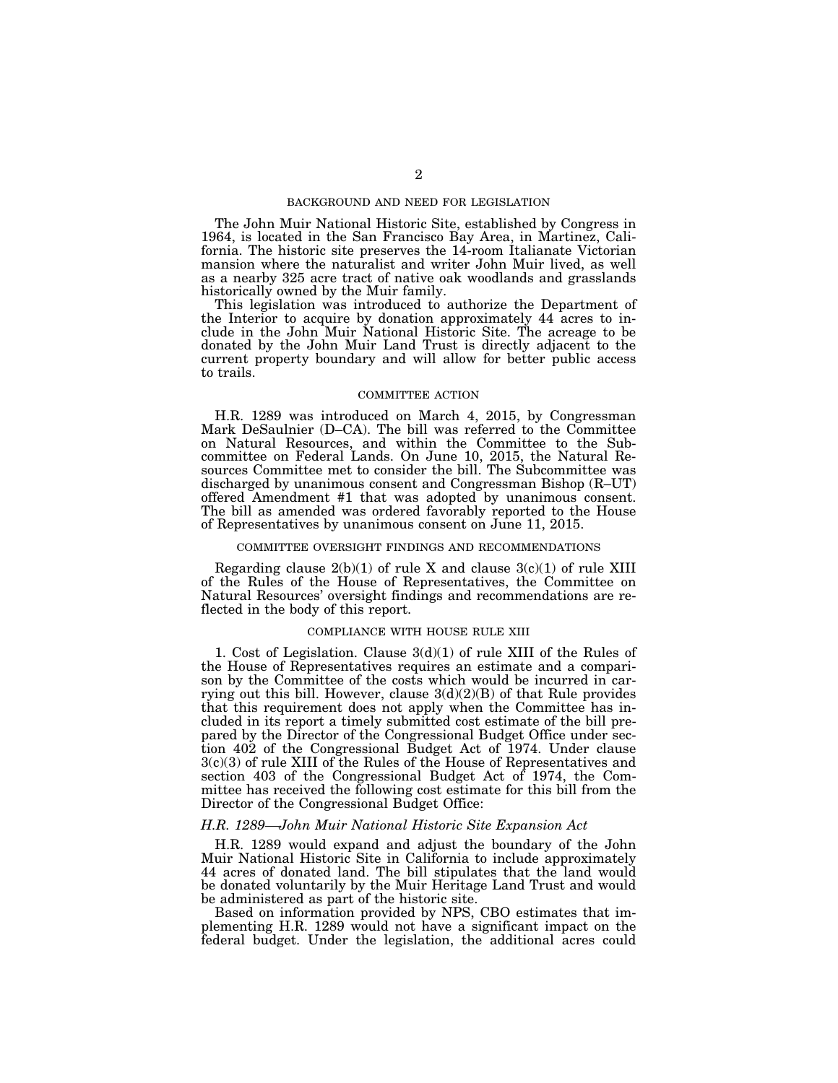#### BACKGROUND AND NEED FOR LEGISLATION

The John Muir National Historic Site, established by Congress in 1964, is located in the San Francisco Bay Area, in Martinez, California. The historic site preserves the 14-room Italianate Victorian mansion where the naturalist and writer John Muir lived, as well as a nearby 325 acre tract of native oak woodlands and grasslands historically owned by the Muir family.

This legislation was introduced to authorize the Department of the Interior to acquire by donation approximately 44 acres to include in the John Muir National Historic Site. The acreage to be donated by the John Muir Land Trust is directly adjacent to the current property boundary and will allow for better public access to trails.

# COMMITTEE ACTION

H.R. 1289 was introduced on March 4, 2015, by Congressman Mark DeSaulnier (D–CA). The bill was referred to the Committee on Natural Resources, and within the Committee to the Subcommittee on Federal Lands. On June 10, 2015, the Natural Resources Committee met to consider the bill. The Subcommittee was discharged by unanimous consent and Congressman Bishop (R–UT) offered Amendment #1 that was adopted by unanimous consent. The bill as amended was ordered favorably reported to the House of Representatives by unanimous consent on June 11, 2015.

## COMMITTEE OVERSIGHT FINDINGS AND RECOMMENDATIONS

Regarding clause  $2(b)(1)$  of rule X and clause  $3(c)(1)$  of rule XIII of the Rules of the House of Representatives, the Committee on Natural Resources' oversight findings and recommendations are reflected in the body of this report.

## COMPLIANCE WITH HOUSE RULE XIII

1. Cost of Legislation. Clause 3(d)(1) of rule XIII of the Rules of the House of Representatives requires an estimate and a comparison by the Committee of the costs which would be incurred in carrying out this bill. However, clause  $3(d)(2)(B)$  of that Rule provides that this requirement does not apply when the Committee has included in its report a timely submitted cost estimate of the bill prepared by the Director of the Congressional Budget Office under section 402 of the Congressional Budget Act of 1974. Under clause 3(c)(3) of rule XIII of the Rules of the House of Representatives and section 403 of the Congressional Budget Act of 1974, the Committee has received the following cost estimate for this bill from the Director of the Congressional Budget Office:

#### *H.R. 1289—John Muir National Historic Site Expansion Act*

H.R. 1289 would expand and adjust the boundary of the John Muir National Historic Site in California to include approximately 44 acres of donated land. The bill stipulates that the land would be donated voluntarily by the Muir Heritage Land Trust and would be administered as part of the historic site.

Based on information provided by NPS, CBO estimates that implementing H.R. 1289 would not have a significant impact on the federal budget. Under the legislation, the additional acres could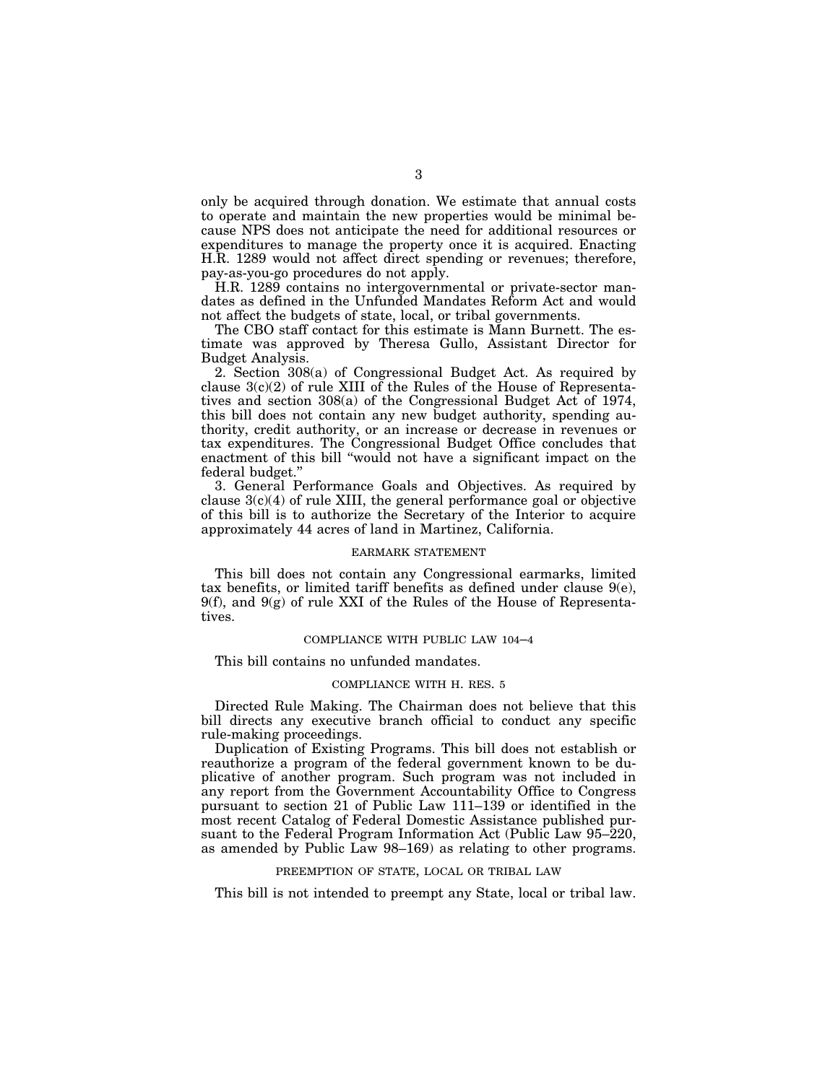only be acquired through donation. We estimate that annual costs to operate and maintain the new properties would be minimal because NPS does not anticipate the need for additional resources or expenditures to manage the property once it is acquired. Enacting H.R. 1289 would not affect direct spending or revenues; therefore, pay-as-you-go procedures do not apply.

H.R. 1289 contains no intergovernmental or private-sector mandates as defined in the Unfunded Mandates Reform Act and would not affect the budgets of state, local, or tribal governments.

The CBO staff contact for this estimate is Mann Burnett. The estimate was approved by Theresa Gullo, Assistant Director for Budget Analysis.

2. Section 308(a) of Congressional Budget Act. As required by clause 3(c)(2) of rule XIII of the Rules of the House of Representatives and section 308(a) of the Congressional Budget Act of 1974, this bill does not contain any new budget authority, spending authority, credit authority, or an increase or decrease in revenues or tax expenditures. The Congressional Budget Office concludes that enactment of this bill ''would not have a significant impact on the federal budget.''

3. General Performance Goals and Objectives. As required by clause  $3(c)(4)$  of rule XIII, the general performance goal or objective of this bill is to authorize the Secretary of the Interior to acquire approximately 44 acres of land in Martinez, California.

#### EARMARK STATEMENT

This bill does not contain any Congressional earmarks, limited tax benefits, or limited tariff benefits as defined under clause 9(e),  $9(f)$ , and  $9(g)$  of rule XXI of the Rules of the House of Representatives.

#### COMPLIANCE WITH PUBLIC LAW 104–4

This bill contains no unfunded mandates.

## COMPLIANCE WITH H. RES. 5

Directed Rule Making. The Chairman does not believe that this bill directs any executive branch official to conduct any specific rule-making proceedings.

Duplication of Existing Programs. This bill does not establish or reauthorize a program of the federal government known to be duplicative of another program. Such program was not included in any report from the Government Accountability Office to Congress pursuant to section 21 of Public Law 111–139 or identified in the most recent Catalog of Federal Domestic Assistance published pursuant to the Federal Program Information Act (Public Law 95–220, as amended by Public Law 98–169) as relating to other programs.

#### PREEMPTION OF STATE, LOCAL OR TRIBAL LAW

This bill is not intended to preempt any State, local or tribal law.